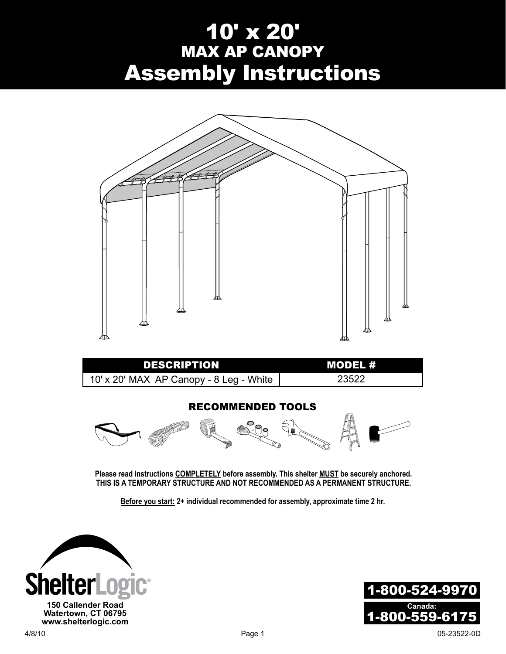# 10' x 20' MAX AP CANOPY Assembly Instructions



**Before you start: 2+ individual recommended for assembly, approximate time 2 hr.**

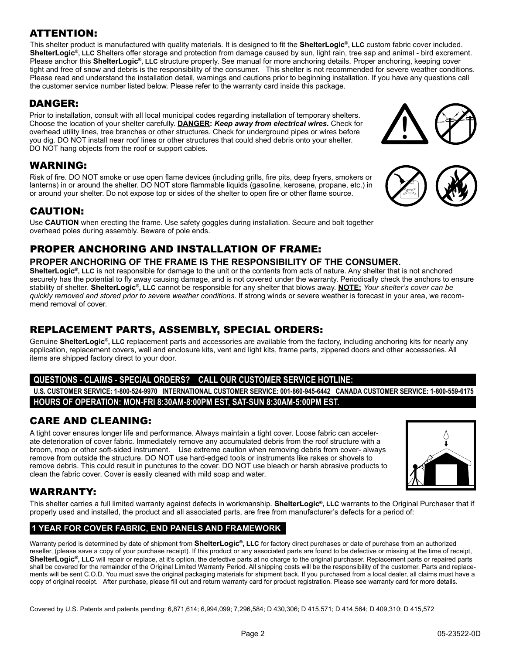#### ATTENTION:

This shelter product is manufactured with quality materials. It is designed to fit the **ShelterLogic®, LLC** custom fabric cover included. **ShelterLogic®, LLC** Shelters offer storage and protection from damage caused by sun, light rain, tree sap and animal - bird excrement. Please anchor this **ShelterLogic®, LLC** structure properly. See manual for more anchoring details. Proper anchoring, keeping cover tight and free of snow and debris is the responsibility of the consumer. This shelter is not recommended for severe weather conditions. Please read and understand the installation detail, warnings and cautions prior to beginning installation. If you have any questions call the customer service number listed below. Please refer to the warranty card inside this package.

#### DANGER:

Prior to installation, consult with all local municipal codes regarding installation of temporary shelters. Choose the location of your shelter carefully. **Danger:** *Keep away from electrical wires.* Check for overhead utility lines, tree branches or other structures. Check for underground pipes or wires before you dig. DO NOT install near roof lines or other structures that could shed debris onto your shelter. DO NOT hang objects from the roof or support cables.

#### WARNING:

Risk of fire. DO NOT smoke or use open flame devices (including grills, fire pits, deep fryers, smokers or lanterns) in or around the shelter. DO NOT store flammable liquids (gasoline, kerosene, propane, etc.) in or around your shelter. Do not expose top or sides of the shelter to open fire or other flame source.

#### CAUTION:

Use **CAUTION** when erecting the frame. Use safety goggles during installation. Secure and bolt together overhead poles during assembly. Beware of pole ends.

### PROPER ANCHORING AND INSTALLATION OF FRAME:

#### **PROPER ANCHORING OF THE FRAME IS THE RESPONSIBILITY OF THE CONSUMER.**

**ShelterLogic®, LLC** is not responsible for damage to the unit or the contents from acts of nature. Any shelter that is not anchored securely has the potential to fly away causing damage, and is not covered under the warranty. Periodically check the anchors to ensure stability of shelter. **ShelterLogic®, LLC** cannot be responsible for any shelter that blows away. **NOTE:** *Your shelter's cover can be quickly removed and stored prior to severe weather conditions*. If strong winds or severe weather is forecast in your area, we recommend removal of cover.

#### REPLACEMENT PARTS, ASSEMBLY, SPECIAL ORDERS:

Genuine **ShelterLogic®, LLC** replacement parts and accessories are available from the factory, including anchoring kits for nearly any application, replacement covers, wall and enclosure kits, vent and light kits, frame parts, zippered doors and other accessories. All items are shipped factory direct to your door.

#### **Questions - claims - special orders? CALL our Customer Service Hotline:**

**U.S. CUSTOMER SERVICE: 1-800-524-9970 INTERNATIONAL CUSTOMER SERVICE: 001-860-945-6442 CANADA CUSTOMER SERVICE: 1-800-559-6175 HOURS OF OPERATION: MON-FRI 8:30AM-8:00PM EST, SAT-SUN 8:30AM-5:00PM EST.**

#### CARE AND CLEANING:

A tight cover ensures longer life and performance. Always maintain a tight cover. Loose fabric can accelerate deterioration of cover fabric. Immediately remove any accumulated debris from the roof structure with a broom, mop or other soft-sided instrument. Use extreme caution when removing debris from cover- always remove from outside the structure. DO NOT use hard-edged tools or instruments like rakes or shovels to remove debris. This could result in punctures to the cover. DO NOT use bleach or harsh abrasive products to clean the fabric cover. Cover is easily cleaned with mild soap and water.



#### WARRANTY:

This shelter carries a full limited warranty against defects in workmanship. **ShelterLogic®, LLC** warrants to the Original Purchaser that if properly used and installed, the product and all associated parts, are free from manufacturer's defects for a period of:

#### **1 Year For Cover Fabric, End Panels and Framework**

Warranty period is determined by date of shipment from **ShelterLogic®, LLC** for factory direct purchases or date of purchase from an authorized reseller, (please save a copy of your purchase receipt). If this product or any associated parts are found to be defective or missing at the time of receipt, ShelterLogic<sup>®</sup>, LLC will repair or replace, at it's option, the defective parts at no charge to the original purchaser. Replacement parts or repaired parts shall be covered for the remainder of the Original Limited Warranty Period. All shipping costs will be the responsibility of the customer. Parts and replacements will be sent C.O.D. You must save the original packaging materials for shipment back. If you purchased from a local dealer, all claims must have a copy of original receipt. After purchase, please fill out and return warranty card for product registration. Please see warranty card for more details.

Covered by U.S. Patents and patents pending: 6,871,614; 6,994,099; 7,296,584; D 430,306; D 415,571; D 414,564; D 409,310; D 415,572



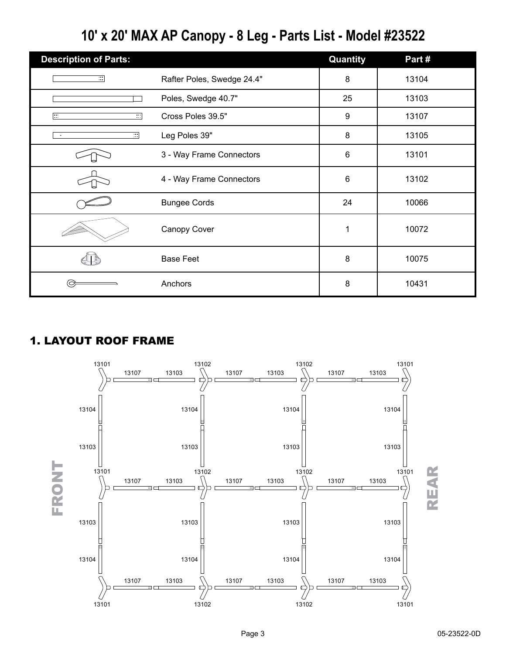# **10' x 20' MAX AP Canopy - 8 Leg - Parts List - Model #23522**

| <b>Description of Parts:</b> |                            | Quantity         | Part# |
|------------------------------|----------------------------|------------------|-------|
| $\overline{\mathbf{r}}$      | Rafter Poles, Swedge 24.4" | 8                | 13104 |
|                              | Poles, Swedge 40.7"        | 25               | 13103 |
| 匸<br>न                       | Cross Poles 39.5"          | $\boldsymbol{9}$ | 13107 |
| ⊡<br>$\bullet$               | Leg Poles 39"              | 8                | 13105 |
|                              | 3 - Way Frame Connectors   | 6                | 13101 |
|                              | 4 - Way Frame Connectors   | 6                | 13102 |
|                              | <b>Bungee Cords</b>        | 24               | 10066 |
|                              | Canopy Cover               | 1                | 10072 |
|                              | <b>Base Feet</b>           | 8                | 10075 |
|                              | Anchors                    | 8                | 10431 |

# 1. LAYOUT ROOF FRAME

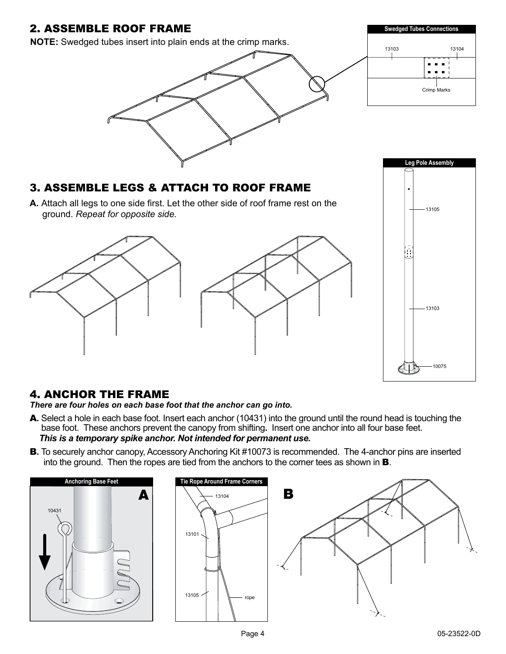

#### 4. Anchor the Frame

*There are four holes on each base foot that the anchor can go into.*

- A**.** Select a hole in each base foot. Insert each anchor (10431) into the ground until the round head is touching the base foot.These anchors prevent the canopy from shifting**.** Insert one anchor into all four base feet. *This is a temporary spike anchor. Not intended for permanent use.*
- **B.** To securely anchor canopy, Accessory Anchoring Kit #10073 is recommended. The 4-anchor pins are inserted into the ground. Then the ropes are tied from the anchors to the corner tees as shown in B.